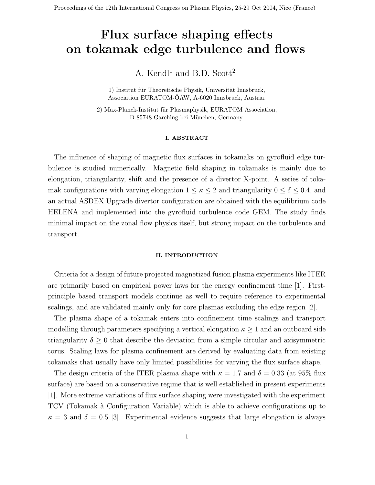# Flux surface shaping effects on tokamak edge turbulence and flows

A. Kendl<sup>1</sup> and B.D. Scott<sup>2</sup>

1) Institut für Theoretische Physik, Universität Innsbruck, Association EURATOM-ÖAW, A-6020 Innsbruck, Austria.

2) Max-Planck-Institut für Plasmaphysik, EURATOM Association, D-85748 Garching bei München, Germany.

# I. ABSTRACT

The influence of shaping of magnetic flux surfaces in tokamaks on gyrofluid edge turbulence is studied numerically. Magnetic field shaping in tokamaks is mainly due to elongation, triangularity, shift and the presence of a divertor X-point. A series of tokamak configurations with varying elongation  $1 \leq \kappa \leq 2$  and triangularity  $0 \leq \delta \leq 0.4$ , and an actual ASDEX Upgrade divertor configuration are obtained with the equilibrium code HELENA and implemented into the gyrofluid turbulence code GEM. The study finds minimal impact on the zonal flow physics itself, but strong impact on the turbulence and transport.

### II. INTRODUCTION

Criteria for a design of future projected magnetized fusion plasma experiments like ITER are primarily based on empirical power laws for the energy confinement time [1]. Firstprinciple based transport models continue as well to require reference to experimental scalings, and are validated mainly only for core plasmas excluding the edge region [2].

The plasma shape of a tokamak enters into confinement time scalings and transport modelling through parameters specifying a vertical elongation  $\kappa \geq 1$  and an outboard side triangularity  $\delta \geq 0$  that describe the deviation from a simple circular and axisymmetric torus. Scaling laws for plasma confinement are derived by evaluating data from existing tokamaks that usually have only limited possibilities for varying the flux surface shape.

The design criteria of the ITER plasma shape with  $\kappa = 1.7$  and  $\delta = 0.33$  (at 95% flux surface) are based on a conservative regime that is well established in present experiments [1]. More extreme variations of flux surface shaping were investigated with the experiment TCV (Tokamak à Configuration Variable) which is able to achieve configurations up to  $\kappa = 3$  and  $\delta = 0.5$  [3]. Experimental evidence suggests that large elongation is always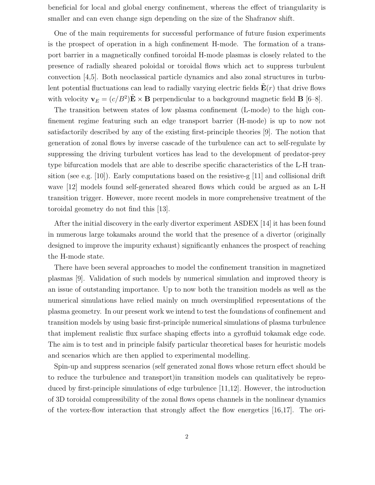beneficial for local and global energy confinement, whereas the effect of triangularity is smaller and can even change sign depending on the size of the Shafranov shift.

One of the main requirements for successful performance of future fusion experiments is the prospect of operation in a high confinement H-mode. The formation of a transport barrier in a magnetically confined toroidal H-mode plasmas is closely related to the presence of radially sheared poloidal or toroidal flows which act to suppress turbulent convection [4,5]. Both neoclassical particle dynamics and also zonal structures in turbulent potential fluctuations can lead to radially varying electric fields  $E(r)$  that drive flows with velocity  $\mathbf{v}_E = (c/B^2)\tilde{\mathbf{E}} \times \mathbf{B}$  perpendicular to a background magnetic field **B** [6-8].

The transition between states of low plasma confinement (L-mode) to the high confinement regime featuring such an edge transport barrier (H-mode) is up to now not satisfactorily described by any of the existing first-principle theories [9]. The notion that generation of zonal flows by inverse cascade of the turbulence can act to self-regulate by suppressing the driving turbulent vortices has lead to the development of predator-prey type bifurcation models that are able to describe specific characteristics of the L-H transition (see e.g. [10]). Early computations based on the resistive-g [11] and collisional drift wave [12] models found self-generated sheared flows which could be argued as an L-H transition trigger. However, more recent models in more comprehensive treatment of the toroidal geometry do not find this [13].

After the initial discovery in the early divertor experiment ASDEX [14] it has been found in numerous large tokamaks around the world that the presence of a divertor (originally designed to improve the impurity exhaust) significantly enhances the prospect of reaching the H-mode state.

There have been several approaches to model the confinement transition in magnetized plasmas [9]. Validation of such models by numerical simulation and improved theory is an issue of outstanding importance. Up to now both the transition models as well as the numerical simulations have relied mainly on much oversimplified representations of the plasma geometry. In our present work we intend to test the foundations of confinement and transition models by using basic first-principle numerical simulations of plasma turbulence that implement realistic flux surface shaping effects into a gyrofluid tokamak edge code. The aim is to test and in principle falsify particular theoretical bases for heuristic models and scenarios which are then applied to experimental modelling.

Spin-up and suppress scenarios (self generated zonal flows whose return effect should be to reduce the turbulence and transport)in transition models can qualitatively be reproduced by first-principle simulations of edge turbulence [11,12]. However, the introduction of 3D toroidal compressibility of the zonal flows opens channels in the nonlinear dynamics of the vortex-flow interaction that strongly affect the flow energetics [16,17]. The ori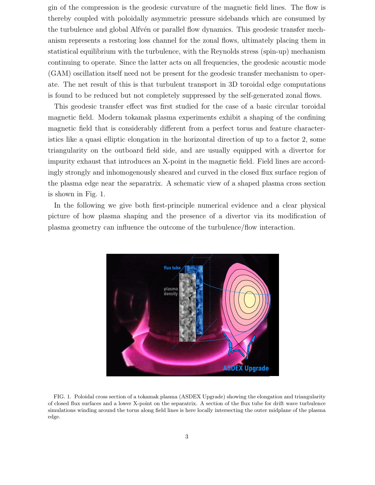gin of the compression is the geodesic curvature of the magnetic field lines. The flow is thereby coupled with poloidally asymmetric pressure sidebands which are consumed by the turbulence and global Alfvén or parallel flow dynamics. This geodesic transfer mechanism represents a restoring loss channel for the zonal flows, ultimately placing them in statistical equilibrium with the turbulence, with the Reynolds stress (spin-up) mechanism continuing to operate. Since the latter acts on all frequencies, the geodesic acoustic mode (GAM) oscillation itself need not be present for the geodesic transfer mechanism to operate. The net result of this is that turbulent transport in 3D toroidal edge computations is found to be reduced but not completely suppressed by the self-generated zonal flows.

This geodesic transfer effect was first studied for the case of a basic circular toroidal magnetic field. Modern tokamak plasma experiments exhibit a shaping of the confining magnetic field that is considerably different from a perfect torus and feature characteristics like a quasi elliptic elongation in the horizontal direction of up to a factor 2, some triangularity on the outboard field side, and are usually equipped with a divertor for impurity exhaust that introduces an X-point in the magnetic field. Field lines are accordingly strongly and inhomogenously sheared and curved in the closed flux surface region of the plasma edge near the separatrix. A schematic view of a shaped plasma cross section is shown in Fig. 1.

In the following we give both first-principle numerical evidence and a clear physical picture of how plasma shaping and the presence of a divertor via its modification of plasma geometry can influence the outcome of the turbulence/flow interaction.



. FIG. 1. Poloidal cross section of a tokamak plasma (ASDEX Upgrade) showing the elongation and triangularity of closed flux surfaces and a lower X-point on the separatrix. A section of the flux tube for drift wave turbulence simulations winding around the torus along field lines is here locally intersecting the outer midplane of the plasma edge.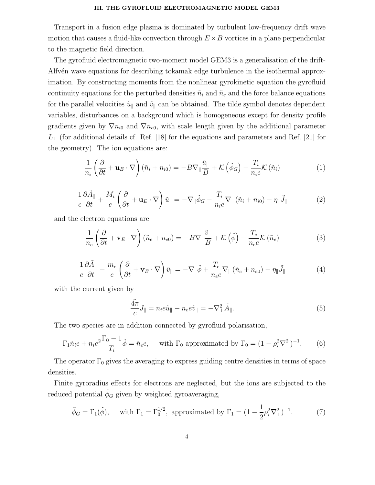#### III. THE GYROFLUID ELECTROMAGNETIC MODEL GEM3

Transport in a fusion edge plasma is dominated by turbulent low-frequency drift wave motion that causes a fluid-like convection through  $E \times B$  vortices in a plane perpendicular to the magnetic field direction.

The gyrofluid electromagnetic two-moment model GEM3 is a generalisation of the drift-Alfv $\acute{e}$ n wave equations for describing tokamak edge turbulence in the isothermal approximation. By constructing moments from the nonlinear gyrokinetic equation the gyrofluid continuity equations for the perturbed densities  $\tilde{n}_i$  and  $\tilde{n}_e$  and the force balance equations for the parallel velocities  $\tilde{u}_{\parallel}$  and  $\tilde{v}_{\parallel}$  can be obtained. The tilde symbol denotes dependent variables, disturbances on a background which is homogeneous except for density profile gradients given by  $\nabla n_{i0}$  and  $\nabla n_{e0}$ , with scale length given by the additional parameter  $L_{\perp}$  (for additional details cf. Ref. [18] for the equations and parameters and Ref. [21] for the geometry). The ion equations are:

$$
\frac{1}{n_i} \left( \frac{\partial}{\partial t} + \mathbf{u}_E \cdot \nabla \right) (\tilde{n}_i + n_{i0}) = -B \nabla_{\parallel} \frac{\tilde{u}_{\parallel}}{B} + \mathcal{K} \left( \tilde{\phi}_G \right) + \frac{T_i}{n_i e} \mathcal{K} \left( \tilde{n}_i \right)
$$
(1)

$$
\frac{1}{c}\frac{\partial \tilde{A}_{\parallel}}{\partial t} + \frac{M_i}{e} \left(\frac{\partial}{\partial t} + \mathbf{u}_E \cdot \nabla\right) \tilde{u}_{\parallel} = -\nabla_{\parallel} \tilde{\phi}_G - \frac{T_i}{n_i e} \nabla_{\parallel} (\tilde{n}_i + n_{i0}) - \eta_{\parallel} \tilde{J}_{\parallel}
$$
(2)

and the electron equations are

$$
\frac{1}{n_e} \left( \frac{\partial}{\partial t} + \mathbf{v}_E \cdot \nabla \right) (\tilde{n}_e + n_{e0}) = -B \nabla_{\parallel} \frac{\tilde{v}_{\parallel}}{B} + \mathcal{K} (\tilde{\phi}) - \frac{T_e}{n_e e} \mathcal{K} (\tilde{n}_e)
$$
(3)

$$
\frac{1}{c}\frac{\partial \tilde{A}_{\parallel}}{\partial t} - \frac{m_e}{e} \left(\frac{\partial}{\partial t} + \mathbf{v}_E \cdot \nabla\right) \tilde{v}_{\parallel} = -\nabla_{\parallel} \tilde{\phi} + \frac{T_e}{n_e e} \nabla_{\parallel} \left(\tilde{n}_e + n_{e0}\right) - \eta_{\parallel} \tilde{J}_{\parallel} \tag{4}
$$

with the current given by

$$
\frac{\tilde{4\pi}}{c}J_{\parallel} = n_i e \tilde{u}_{\parallel} - n_e e \tilde{v}_{\parallel} = -\nabla_{\perp}^2 \tilde{A}_{\parallel}. \tag{5}
$$

The two species are in addition connected by gyrofluid polarisation,

$$
\Gamma_1 \tilde{n}_i e + n_i e^2 \frac{\Gamma_0 - 1}{T_i} \tilde{\phi} = \tilde{n}_e e, \quad \text{with } \Gamma_0 \text{ approximated by } \Gamma_0 = (1 - \rho_i^2 \nabla_\perp^2)^{-1}.
$$
 (6)

The operator  $\Gamma_0$  gives the averaging to express guiding centre densities in terms of space densities.

Finite gyroradius effects for electrons are neglected, but the ions are subjected to the reduced potential  $\tilde{\phi}_G$  given by weighted gyroaveraging,

$$
\tilde{\phi}_G = \Gamma_1(\tilde{\phi}),
$$
 with  $\Gamma_1 = \Gamma_0^{1/2}$ , approximated by  $\Gamma_1 = (1 - \frac{1}{2}\rho_i^2 \nabla_\perp^2)^{-1}.$  (7)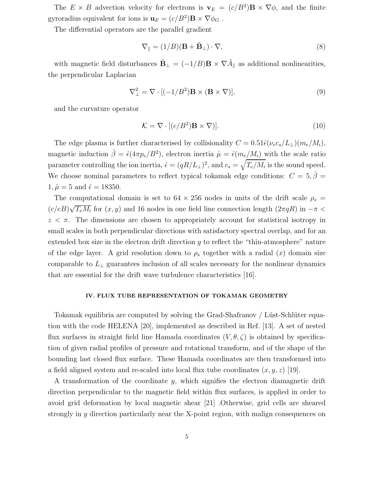The  $E \times B$  advection velocity for electrons is  $\mathbf{v}_E = (c/B^2) \mathbf{B} \times \nabla \phi$ , and the finite gyroradius equivalent for ions is  $\mathbf{u}_E = (c/B^2)\mathbf{B} \times \nabla \phi_G$ .

The differential operators are the parallel gradient

$$
\nabla_{\parallel} = (1/B)(\mathbf{B} + \tilde{\mathbf{B}}_{\perp}) \cdot \nabla, \tag{8}
$$

with magnetic field disturbances  $\tilde{\mathbf{B}}_{\perp} = (-1/B)\mathbf{B} \times \nabla \tilde{A}_{\parallel}$  as additional nonlinearities, the perpendicular Laplacian

$$
\nabla_{\perp}^{2} = \nabla \cdot [(-1/B^{2}) \mathbf{B} \times (\mathbf{B} \times \nabla)], \qquad (9)
$$

and the curvature operator

$$
\mathcal{K} = \nabla \cdot [(c/B^2)\mathbf{B} \times \nabla)].
$$
\n(10)

The edge plasma is further characterised by collisionality  $C = 0.51\hat{\epsilon}(\nu_e c_s/L_{\perp})(m_e/M_i)$ , magnetic induction  $\hat{\beta} = \hat{\epsilon}(4\pi p_e/B^2)$ , electron inertia  $\hat{\mu} = \hat{\epsilon}(m_e/M_i)$  with the scale ratio parameter controlling the ion inertia,  $\hat{\epsilon} = (qR/L_{\perp})^2$ , and  $c_s = \sqrt{T_e/M_i}$  is the sound speed. We choose nominal parameters to reflect typical tokamak edge conditions:  $C = 5, \hat{\beta} =$  $1, \hat{\mu} = 5$  and  $\hat{\epsilon} = 18350$ .

The computational domain is set to  $64 \times 256$  nodes in units of the drift scale  $\rho_s =$  $(c/eB)\sqrt{T_eM_i}$  for  $(x, y)$  and 16 nodes in one field line connection length  $(2\pi qR)$  in  $-\pi$  $z < \pi$ . The dimensions are chosen to appropriately account for statistical isotropy in small scales in both perpendicular directions with satisfactory spectral overlap, and for an extended box size in the electron drift direction  $y$  to reflect the "thin-atmosphere" nature of the edge layer. A grid resolution down to  $\rho_s$  together with a radial  $(x)$  domain size comparable to  $L_{\perp}$  guarantees inclusion of all scales necessary for the nonlinear dynamics that are essential for the drift wave turbulence characteristics [16].

#### IV. FLUX TUBE REPRESENTATION OF TOKAMAK GEOMETRY

Tokamak equilibria are computed by solving the Grad-Shafranov / Lüst-Schlüter equation with the code HELENA [20], implemented as described in Ref. [13]. A set of nested flux surfaces in straight field line Hamada coordinates  $(V, \theta, \zeta)$  is obtained by specification of given radial profiles of pressure and rotational transform, and of the shape of the bounding last closed flux surface. These Hamada coordinates are then transformed into a field aligned system and re-scaled into local flux tube coordinates  $(x, y, z)$  [19].

A transformation of the coordinate y, which signifies the electron diamagnetic drift direction perpendicular to the magnetic field within flux surfaces, is applied in order to avoid grid deformation by local magnetic shear [21] .Otherwise, grid cells are sheared strongly in  $y$  direction particularly near the X-point region, with malign consequences on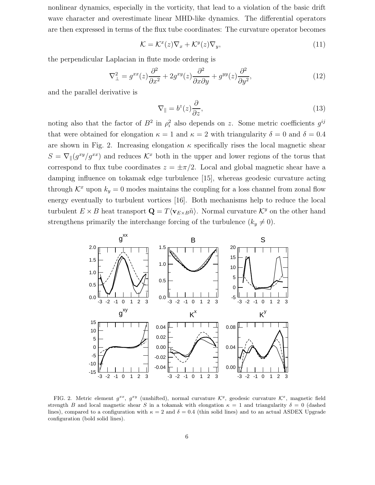nonlinear dynamics, especially in the vorticity, that lead to a violation of the basic drift wave character and overestimate linear MHD-like dynamics. The differential operators are then expressed in terms of the flux tube coordinates: The curvature operator becomes

$$
\mathcal{K} = \mathcal{K}^x(z)\nabla_x + \mathcal{K}^y(z)\nabla_y,\tag{11}
$$

the perpendicular Laplacian in flute mode ordering is

$$
\nabla_{\perp}^{2} = g^{xx}(z)\frac{\partial^{2}}{\partial x^{2}} + 2g^{xy}(z)\frac{\partial^{2}}{\partial x\partial y} + g^{yy}(z)\frac{\partial^{2}}{\partial y^{2}},\tag{12}
$$

and the parallel derivative is

$$
\nabla_{\parallel} = b^z(z) \frac{\partial}{\partial z},\tag{13}
$$

noting also that the factor of  $B^2$  in  $\rho_i^2$  $i<sub>i</sub><sup>2</sup>$  also depends on z. Some metric coefficients  $g<sup>ij</sup>$ that were obtained for elongation  $\kappa = 1$  and  $\kappa = 2$  with triangularity  $\delta = 0$  and  $\delta = 0.4$ are shown in Fig. 2. Increasing elongation  $\kappa$  specifically rises the local magnetic shear  $S = \nabla_{\parallel}(g^{xy}/g^{xx})$  and reduces  $\mathcal{K}^x$  both in the upper and lower regions of the torus that correspond to flux tube coordinates  $z = \pm \pi/2$ . Local and global magnetic shear have a damping influence on tokamak edge turbulence [15], whereas geodesic curvature acting through  $\mathcal{K}^x$  upon  $k_y = 0$  modes maintains the coupling for a loss channel from zonal flow energy eventually to turbulent vortices [16]. Both mechanisms help to reduce the local turbulent  $E \times B$  heat transport  $\mathbf{Q} = T\langle \mathbf{v}_{E\times B}\tilde{n}\rangle$ . Normal curvature  $\mathcal{K}^y$  on the other hand strengthens primarily the interchange forcing of the turbulence  $(k_y \neq 0)$ .



FIG. 2. Metric element  $g^{xx}$ ,  $g^{xy}$  (unshifted), normal curvature  $K^y$ , geodesic curvature  $K^x$ , magnetic field strength B and local magnetic shear S in a tokamak with elongation  $\kappa = 1$  and triangularity  $\delta = 0$  (dashed lines), compared to a configuration with  $\kappa = 2$  and  $\delta = 0.4$  (thin solid lines) and to an actual ASDEX Upgrade configuration (bold solid lines).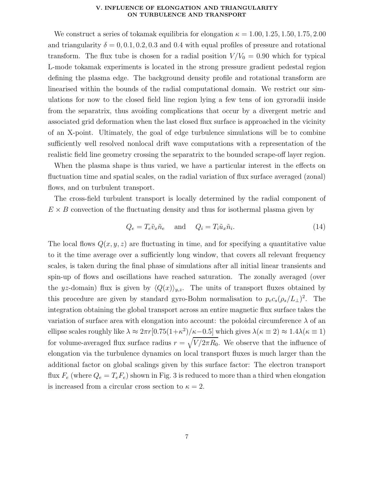#### V. INFLUENCE OF ELONGATION AND TRIANGULARITY ON TURBULENCE AND TRANSPORT

We construct a series of tokamak equilibria for elongation  $\kappa = 1.00, 1.25, 1.50, 1.75, 2.00$ and triangularity  $\delta = 0, 0.1, 0.2, 0.3$  and 0.4 with equal profiles of pressure and rotational transform. The flux tube is chosen for a radial position  $V/V_0 = 0.90$  which for typical L-mode tokamak experiments is located in the strong pressure gradient pedestal region defining the plasma edge. The background density profile and rotational transform are linearised within the bounds of the radial computational domain. We restrict our simulations for now to the closed field line region lying a few tens of ion gyroradii inside from the separatrix, thus avoiding complications that occur by a divergent metric and associated grid deformation when the last closed flux surface is approached in the vicinity of an X-point. Ultimately, the goal of edge turbulence simulations will be to combine sufficiently well resolved nonlocal drift wave computations with a representation of the realistic field line geometry crossing the separatrix to the bounded scrape-off layer region.

When the plasma shape is thus varied, we have a particular interest in the effects on fluctuation time and spatial scales, on the radial variation of flux surface averaged (zonal) flows, and on turbulent transport.

The cross-field turbulent transport is locally determined by the radial component of  $E \times B$  convection of the fluctuating density and thus for isothermal plasma given by

$$
Q_e = T_e \tilde{v}_x \tilde{n}_e \quad \text{and} \quad Q_i = T_i \tilde{u}_x \tilde{n}_i. \tag{14}
$$

The local flows  $Q(x, y, z)$  are fluctuating in time, and for specifying a quantitative value to it the time average over a sufficiently long window, that covers all relevant frequency scales, is taken during the final phase of simulations after all initial linear transients and spin-up of flows and oscillations have reached saturation. The zonally averaged (over the yz-domain) flux is given by  $\langle Q(x)\rangle_{y,z}$ . The units of transport fluxes obtained by this procedure are given by standard gyro-Bohm normalisation to  $p_e c_s (\rho_s/L_{\perp})^2$ . The integration obtaining the global transport across an entire magnetic flux surface takes the variation of surface area with elongation into account: the poloidal circumference  $\lambda$  of an ellipse scales roughly like  $\lambda \approx 2\pi r [0.75(1+\kappa^2)/\kappa-0.5]$  which gives  $\lambda(\kappa \equiv 2) \approx 1.4\lambda(\kappa \equiv 1)$ for volume-averaged flux surface radius  $r = \sqrt{V/2\pi R_0}$ . We observe that the influence of elongation via the turbulence dynamics on local transport fluxes is much larger than the additional factor on global scalings given by this surface factor: The electron transport flux  $F_e$  (where  $Q_e = T_e F_e$ ) shown in Fig. 3 is reduced to more than a third when elongation is increased from a circular cross section to  $\kappa = 2$ .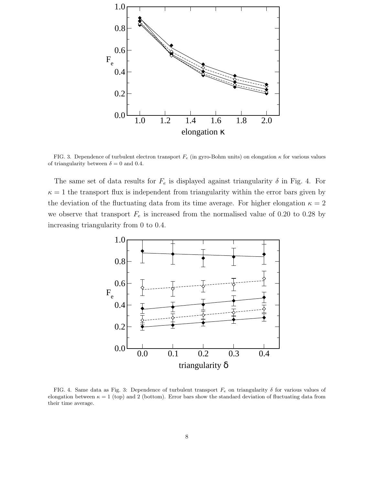

FIG. 3. Dependence of turbulent electron transport  $F_e$  (in gyro-Bohm units) on elongation  $\kappa$  for various values of triangularity between  $\delta = 0$  and 0.4.

The same set of data results for  $F_e$  is displayed against triangularity  $\delta$  in Fig. 4. For  $\kappa = 1$  the transport flux is independent from triangularity within the error bars given by the deviation of the fluctuating data from its time average. For higher elongation  $\kappa = 2$ we observe that transport  $F_e$  is increased from the normalised value of 0.20 to 0.28 by increasing triangularity from 0 to 0.4.



FIG. 4. Same data as Fig. 3: Dependence of turbulent transport  $F_e$  on triangularity  $\delta$  for various values of elongation between  $\kappa = 1$  (top) and 2 (bottom). Error bars show the standard deviation of fluctuating data from their time average.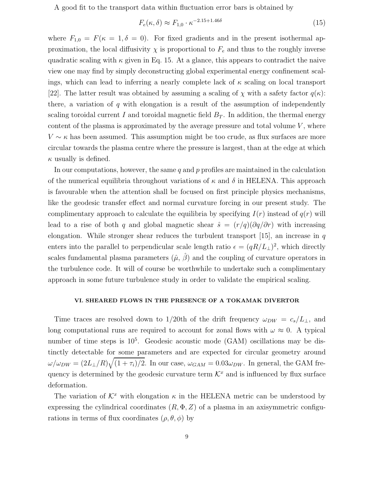A good fit to the transport data within fluctuation error bars is obtained by

$$
F_e(\kappa, \delta) \approx F_{1,0} \cdot \kappa^{-2.15 + 1.46\delta} \tag{15}
$$

where  $F_{1,0} = F(\kappa = 1, \delta = 0)$ . For fixed gradients and in the present isothermal approximation, the local diffusivity  $\chi$  is proportional to  $F_e$  and thus to the roughly inverse quadratic scaling with  $\kappa$  given in Eq. 15. At a glance, this appears to contradict the naive view one may find by simply deconstructing global experimental energy confinement scalings, which can lead to inferring a nearly complete lack of  $\kappa$  scaling on local transport [22]. The latter result was obtained by assuming a scaling of  $\chi$  with a safety factor  $q(\kappa)$ : there, a variation of  $q$  with elongation is a result of the assumption of independently scaling toroidal current I and toroidal magnetic field  $B_T$ . In addition, the thermal energy content of the plasma is approximated by the average pressure and total volume  $V$ , where  $V \sim \kappa$  has been assumed. This assumption might be too crude, as flux surfaces are more circular towards the plasma centre where the pressure is largest, than at the edge at which  $\kappa$  usually is defined.

In our computations, however, the same  $q$  and  $p$  profiles are maintained in the calculation of the numerical equilibria throughout variations of  $\kappa$  and  $\delta$  in HELENA. This approach is favourable when the attention shall be focused on first principle physics mechanisms, like the geodesic transfer effect and normal curvature forcing in our present study. The complimentary approach to calculate the equilibria by specifying  $I(r)$  instead of  $q(r)$  will lead to a rise of both q and global magnetic shear  $\hat{s} = (r/q)(\partial q/\partial r)$  with increasing elongation. While stronger shear reduces the turbulent transport [15], an increase in  $q$ enters into the parallel to perpendicular scale length ratio  $\epsilon = (qR/L_{\perp})^2$ , which directly scales fundamental plasma parameters  $(\hat{\mu}, \hat{\beta})$  and the coupling of curvature operators in the turbulence code. It will of course be worthwhile to undertake such a complimentary approach in some future turbulence study in order to validate the empirical scaling.

# VI. SHEARED FLOWS IN THE PRESENCE OF A TOKAMAK DIVERTOR

Time traces are resolved down to 1/20th of the drift frequency  $\omega_{DW} = c_s/L_{\perp}$ , and long computational runs are required to account for zonal flows with  $\omega \approx 0$ . A typical number of time steps is  $10^5$ . Geodesic acoustic mode (GAM) oscillations may be distinctly detectable for some parameters and are expected for circular geometry around  $\omega/\omega_{DW} = (2L_{\perp}/R)\sqrt{(1+\tau_i)/2}$ . In our case,  $\omega_{GAM} = 0.03\omega_{DW}$ . In general, the GAM frequency is determined by the geodesic curvature term  $\mathcal{K}^x$  and is influenced by flux surface deformation.

The variation of  $\mathcal{K}^x$  with elongation  $\kappa$  in the HELENA metric can be understood by expressing the cylindrical coordinates  $(R, \Phi, Z)$  of a plasma in an axisymmetric configurations in terms of flux coordinates  $(\rho, \theta, \phi)$  by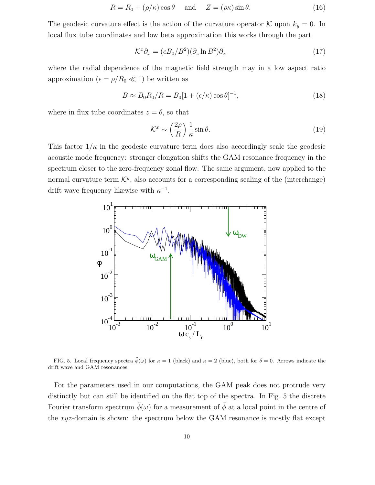$$
R = R_0 + (\rho/\kappa)\cos\theta \quad \text{and} \quad Z = (\rho\kappa)\sin\theta. \tag{16}
$$

The geodesic curvature effect is the action of the curvature operator K upon  $k_y = 0$ . In local flux tube coordinates and low beta approximation this works through the part

$$
\mathcal{K}^x \partial_x = (cB_0/B^2)(\partial_z \ln B^2)\partial_x \tag{17}
$$

where the radial dependence of the magnetic field strength may in a low aspect ratio approximation ( $\epsilon = \rho/R_0 \ll 1$ ) be written as

$$
B \approx B_0 R_0 / R = B_0 [1 + (\epsilon/\kappa) \cos \theta]^{-1},\tag{18}
$$

where in flux tube coordinates  $z = \theta$ , so that

$$
\mathcal{K}^x \sim \left(\frac{2\rho}{R}\right) \frac{1}{\kappa} \sin \theta. \tag{19}
$$

This factor  $1/\kappa$  in the geodesic curvature term does also accordingly scale the geodesic acoustic mode frequency: stronger elongation shifts the GAM resonance frequency in the spectrum closer to the zero-frequency zonal flow. The same argument, now applied to the normal curvature term  $\mathcal{K}^y$ , also accounts for a corresponding scaling of the (interchange) drift wave frequency likewise with  $\kappa^{-1}$ .



FIG. 5. Local frequency spectra  $\tilde{\phi}(\omega)$  for  $\kappa = 1$  (black) and  $\kappa = 2$  (blue), both for  $\delta = 0$ . Arrows indicate the drift wave and GAM resonances.

For the parameters used in our computations, the GAM peak does not protrude very distinctly but can still be identified on the flat top of the spectra. In Fig. 5 the discrete Fourier transform spectrum  $\tilde{\phi}(\omega)$  for a measurement of  $\tilde{\phi}$  at a local point in the centre of the xyz-domain is shown: the spectrum below the GAM resonance is mostly flat except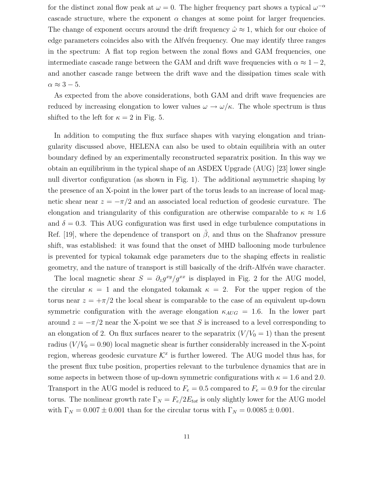for the distinct zonal flow peak at  $\omega = 0$ . The higher frequency part shows a typical  $\omega^{-\alpha}$ cascade structure, where the exponent  $\alpha$  changes at some point for larger frequencies. The change of exponent occurs around the drift frequency  $\hat{\omega} \approx 1$ , which for our choice of edge parameters coincides also with the Alfvén frequency. One may identify three ranges in the spectrum: A flat top region between the zonal flows and GAM frequencies, one intermediate cascade range between the GAM and drift wave frequencies with  $\alpha \approx 1-2$ , and another cascade range between the drift wave and the dissipation times scale with  $\alpha \approx 3-5$ .

As expected from the above considerations, both GAM and drift wave frequencies are reduced by increasing elongation to lower values  $\omega \to \omega/\kappa$ . The whole spectrum is thus shifted to the left for  $\kappa = 2$  in Fig. 5.

In addition to computing the flux surface shapes with varying elongation and triangularity discussed above, HELENA can also be used to obtain equilibria with an outer boundary defined by an experimentally reconstructed separatrix position. In this way we obtain an equilibrium in the typical shape of an ASDEX Upgrade (AUG) [23] lower single null divertor configuration (as shown in Fig. 1). The additional asymmetric shaping by the presence of an X-point in the lower part of the torus leads to an increase of local magnetic shear near  $z = -\pi/2$  and an associated local reduction of geodesic curvature. The elongation and triangularity of this configuration are otherwise comparable to  $\kappa \approx 1.6$ and  $\delta = 0.3$ . This AUG configuration was first used in edge turbulence computations in Ref. [19], where the dependence of transport on  $\beta$ , and thus on the Shafranov pressure shift, was established: it was found that the onset of MHD ballooning mode turbulence is prevented for typical tokamak edge parameters due to the shaping effects in realistic geometry, and the nature of transport is still basically of the drift-Alfvén wave character.

The local magnetic shear  $S = \partial_z g^{xy} / g^{xx}$  is displayed in Fig. 2 for the AUG model, the circular  $\kappa = 1$  and the elongated tokamak  $\kappa = 2$ . For the upper region of the torus near  $z = +\pi/2$  the local shear is comparable to the case of an equivalent up-down symmetric configuration with the average elongation  $\kappa_{AUG} = 1.6$ . In the lower part around  $z = -\pi/2$  near the X-point we see that S is increased to a level corresponding to an elongation of 2. On flux surfaces nearer to the separatrix  $(V/V_0 = 1)$  than the present radius  $(V/V_0 = 0.90)$  local magnetic shear is further considerably increased in the X-point region, whereas geodesic curvature  $\mathcal{K}^x$  is further lowered. The AUG model thus has, for the present flux tube position, properties relevant to the turbulence dynamics that are in some aspects in between those of up-down symmetric configurations with  $\kappa = 1.6$  and 2.0. Transport in the AUG model is reduced to  $F_e = 0.5$  compared to  $F_e = 0.9$  for the circular torus. The nonlinear growth rate  $\Gamma_N = F_e/2E_{tot}$  is only slightly lower for the AUG model with  $\Gamma_N = 0.007 \pm 0.001$  than for the circular torus with  $\Gamma_N = 0.0085 \pm 0.001$ .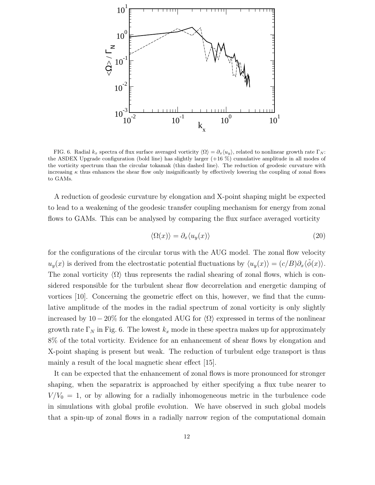

FIG. 6. Radial  $k_x$  spectra of flux surface averaged vorticity  $\langle \Omega \rangle = \partial_x \langle u_y \rangle$ , related to nonlinear growth rate Γ<sub>N</sub>: the ASDEX Upgrade configuration (bold line) has slightly larger (+16 %) cumulative amplitude in all modes of the vorticity spectrum than the circular tokamak (thin dashed line). The reduction of geodesic curvature with increasing  $\kappa$  thus enhances the shear flow only insignificantly by effectively lowering the coupling of zonal flows to GAMs.

A reduction of geodesic curvature by elongation and X-point shaping might be expected to lead to a weakening of the geodesic transfer coupling mechanism for energy from zonal flows to GAMs. This can be analysed by comparing the flux surface averaged vorticity

$$
\langle \Omega(x) \rangle = \partial_x \langle u_y(x) \rangle \tag{20}
$$

for the configurations of the circular torus with the AUG model. The zonal flow velocity  $u_y(x)$  is derived from the electrostatic potential fluctuations by  $\langle u_y(x) \rangle = (c/B)\partial_x\langle \tilde{\phi}(x) \rangle$ . The zonal vorticity  $\langle \Omega \rangle$  thus represents the radial shearing of zonal flows, which is considered responsible for the turbulent shear flow decorrelation and energetic damping of vortices [10]. Concerning the geometric effect on this, however, we find that the cumulative amplitude of the modes in the radial spectrum of zonal vorticity is only slightly increased by  $10-20\%$  for the elongated AUG for  $\langle \Omega \rangle$  expressed in terms of the nonlinear growth rate  $\Gamma_N$  in Fig. 6. The lowest  $k_x$  mode in these spectra makes up for approximately 8% of the total vorticity. Evidence for an enhancement of shear flows by elongation and X-point shaping is present but weak. The reduction of turbulent edge transport is thus mainly a result of the local magnetic shear effect [15].

It can be expected that the enhancement of zonal flows is more pronounced for stronger shaping, when the separatrix is approached by either specifying a flux tube nearer to  $V/V_0 = 1$ , or by allowing for a radially inhomogeneous metric in the turbulence code in simulations with global profile evolution. We have observed in such global models that a spin-up of zonal flows in a radially narrow region of the computational domain